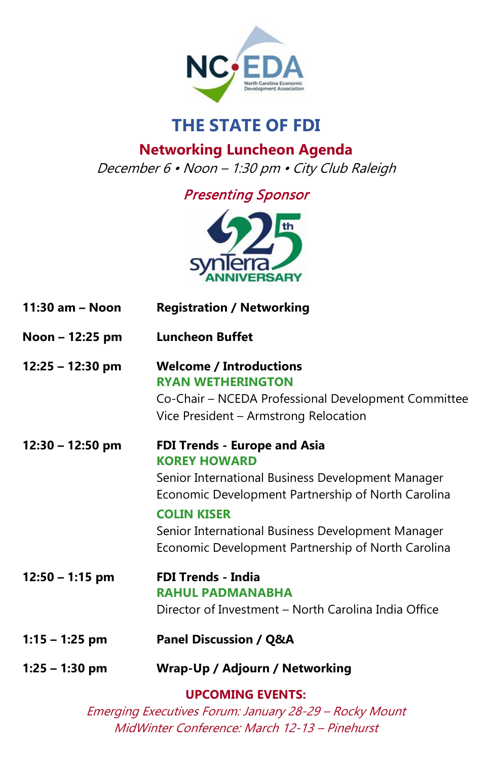

## **THE STATE OF FDI**

**Networking Luncheon Agenda** December 6 • Noon – 1:30 pm • City Club Raleigh

## Presenting Sponsor



| 11:30 am - Noon    | <b>Registration / Networking</b>                                                                                                                                                                                                                                                                       |
|--------------------|--------------------------------------------------------------------------------------------------------------------------------------------------------------------------------------------------------------------------------------------------------------------------------------------------------|
| Noon - 12:25 pm    | <b>Luncheon Buffet</b>                                                                                                                                                                                                                                                                                 |
| $12:25 - 12:30$ pm | <b>Welcome / Introductions</b><br><b>RYAN WETHERINGTON</b><br>Co-Chair – NCEDA Professional Development Committee<br>Vice President - Armstrong Relocation                                                                                                                                             |
| $12:30 - 12:50$ pm | <b>FDI Trends - Europe and Asia</b><br><b>KOREY HOWARD</b><br>Senior International Business Development Manager<br>Economic Development Partnership of North Carolina<br><b>COLIN KISER</b><br>Senior International Business Development Manager<br>Economic Development Partnership of North Carolina |
| $12:50 - 1:15$ pm  | <b>FDI Trends - India</b><br><b>RAHUL PADMANABHA</b><br>Director of Investment - North Carolina India Office                                                                                                                                                                                           |
| $1:15 - 1:25$ pm   | <b>Panel Discussion / Q&amp;A</b>                                                                                                                                                                                                                                                                      |
| $1:25 - 1:30$ pm   | Wrap-Up / Adjourn / Networking                                                                                                                                                                                                                                                                         |
|                    | <b>UPCOMING EVENTS:</b>                                                                                                                                                                                                                                                                                |

Emerging Executives Forum: January 28-29 – Rocky Mount MidWinter Conference: March 12-13 – Pinehurst